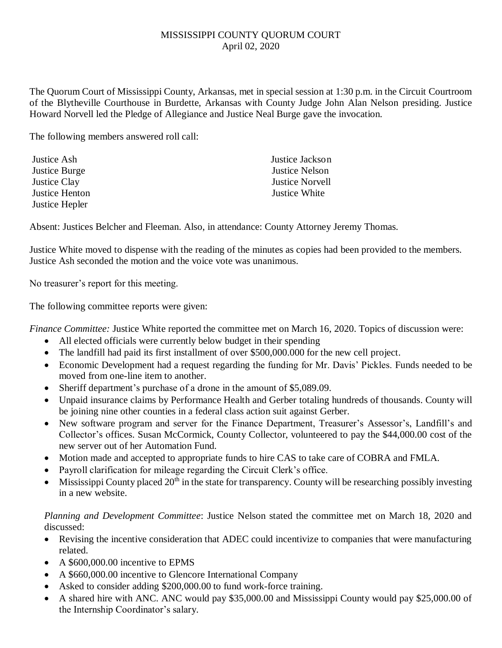## MISSISSIPPI COUNTY QUORUM COURT April 02, 2020

The Quorum Court of Mississippi County, Arkansas, met in special session at 1:30 p.m. in the Circuit Courtroom of the Blytheville Courthouse in Burdette, Arkansas with County Judge John Alan Nelson presiding. Justice Howard Norvell led the Pledge of Allegiance and Justice Neal Burge gave the invocation.

The following members answered roll call:

| Justice Ash    |  |
|----------------|--|
| Justice Burge  |  |
| Justice Clay   |  |
| Justice Henton |  |
| Justice Hepler |  |

Justice Jackson Justice Nelson **Justice Norvell** Justice White

Absent: Justices Belcher and Fleeman. Also, in attendance: County Attorney Jeremy Thomas.

Justice White moved to dispense with the reading of the minutes as copies had been provided to the members. Justice Ash seconded the motion and the voice vote was unanimous.

No treasurer's report for this meeting.

The following committee reports were given:

*Finance Committee:* Justice White reported the committee met on March 16, 2020. Topics of discussion were:

- All elected officials were currently below budget in their spending
- The landfill had paid its first installment of over \$500,000.000 for the new cell project.
- Economic Development had a request regarding the funding for Mr. Davis' Pickles. Funds needed to be moved from one-line item to another.
- Sheriff department's purchase of a drone in the amount of \$5,089.09.
- Unpaid insurance claims by Performance Health and Gerber totaling hundreds of thousands. County will be joining nine other counties in a federal class action suit against Gerber.
- New software program and server for the Finance Department, Treasurer's Assessor's, Landfill's and Collector's offices. Susan McCormick, County Collector, volunteered to pay the \$44,000.00 cost of the new server out of her Automation Fund.
- Motion made and accepted to appropriate funds to hire CAS to take care of COBRA and FMLA.
- Payroll clarification for mileage regarding the Circuit Clerk's office.
- $\bullet$  Mississippi County placed 20<sup>th</sup> in the state for transparency. County will be researching possibly investing in a new website.

## *Planning and Development Committee*: Justice Nelson stated the committee met on March 18, 2020 and discussed:

- Revising the incentive consideration that ADEC could incentivize to companies that were manufacturing related.
- A \$600,000.00 incentive to EPMS
- A \$660,000.00 incentive to Glencore International Company
- Asked to consider adding \$200,000.00 to fund work-force training.
- A shared hire with ANC. ANC would pay \$35,000.00 and Mississippi County would pay \$25,000.00 of the Internship Coordinator's salary.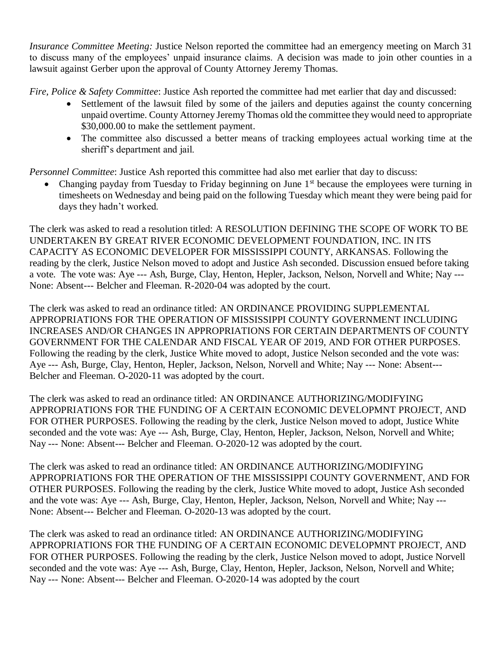*Insurance Committee Meeting:* Justice Nelson reported the committee had an emergency meeting on March 31 to discuss many of the employees' unpaid insurance claims. A decision was made to join other counties in a lawsuit against Gerber upon the approval of County Attorney Jeremy Thomas.

*Fire, Police & Safety Committee*: Justice Ash reported the committee had met earlier that day and discussed:

- Settlement of the lawsuit filed by some of the jailers and deputies against the county concerning unpaid overtime. County Attorney Jeremy Thomas old the committee they would need to appropriate \$30,000.00 to make the settlement payment.
- The committee also discussed a better means of tracking employees actual working time at the sheriff's department and jail.

*Personnel Committee*: Justice Ash reported this committee had also met earlier that day to discuss:

Changing payday from Tuesday to Friday beginning on June  $1<sup>st</sup>$  because the employees were turning in timesheets on Wednesday and being paid on the following Tuesday which meant they were being paid for days they hadn't worked.

The clerk was asked to read a resolution titled: A RESOLUTION DEFINING THE SCOPE OF WORK TO BE UNDERTAKEN BY GREAT RIVER ECONOMIC DEVELOPMENT FOUNDATION, INC. IN ITS CAPACITY AS ECONOMIC DEVELOPER FOR MISSISSIPPI COUNTY, ARKANSAS. Following the reading by the clerk, Justice Nelson moved to adopt and Justice Ash seconded. Discussion ensued before taking a vote. The vote was: Aye --- Ash, Burge, Clay, Henton, Hepler, Jackson, Nelson, Norvell and White; Nay --- None: Absent--- Belcher and Fleeman. R-2020-04 was adopted by the court.

The clerk was asked to read an ordinance titled: AN ORDINANCE PROVIDING SUPPLEMENTAL APPROPRIATIONS FOR THE OPERATION OF MISSISSIPPI COUNTY GOVERNMENT INCLUDING INCREASES AND/OR CHANGES IN APPROPRIATIONS FOR CERTAIN DEPARTMENTS OF COUNTY GOVERNMENT FOR THE CALENDAR AND FISCAL YEAR OF 2019, AND FOR OTHER PURPOSES. Following the reading by the clerk, Justice White moved to adopt, Justice Nelson seconded and the vote was: Aye --- Ash, Burge, Clay, Henton, Hepler, Jackson, Nelson, Norvell and White; Nay --- None: Absent--- Belcher and Fleeman. O-2020-11 was adopted by the court.

The clerk was asked to read an ordinance titled: AN ORDINANCE AUTHORIZING/MODIFYING APPROPRIATIONS FOR THE FUNDING OF A CERTAIN ECONOMIC DEVELOPMNT PROJECT, AND FOR OTHER PURPOSES. Following the reading by the clerk, Justice Nelson moved to adopt, Justice White seconded and the vote was: Aye --- Ash, Burge, Clay, Henton, Hepler, Jackson, Nelson, Norvell and White; Nay --- None: Absent--- Belcher and Fleeman. O-2020-12 was adopted by the court.

The clerk was asked to read an ordinance titled: AN ORDINANCE AUTHORIZING/MODIFYING APPROPRIATIONS FOR THE OPERATION OF THE MISSISSIPPI COUNTY GOVERNMENT, AND FOR OTHER PURPOSES. Following the reading by the clerk, Justice White moved to adopt, Justice Ash seconded and the vote was: Aye --- Ash, Burge, Clay, Henton, Hepler, Jackson, Nelson, Norvell and White; Nay --- None: Absent--- Belcher and Fleeman. O-2020-13 was adopted by the court.

The clerk was asked to read an ordinance titled: AN ORDINANCE AUTHORIZING/MODIFYING APPROPRIATIONS FOR THE FUNDING OF A CERTAIN ECONOMIC DEVELOPMNT PROJECT, AND FOR OTHER PURPOSES. Following the reading by the clerk, Justice Nelson moved to adopt, Justice Norvell seconded and the vote was: Aye --- Ash, Burge, Clay, Henton, Hepler, Jackson, Nelson, Norvell and White; Nay --- None: Absent--- Belcher and Fleeman. O-2020-14 was adopted by the court